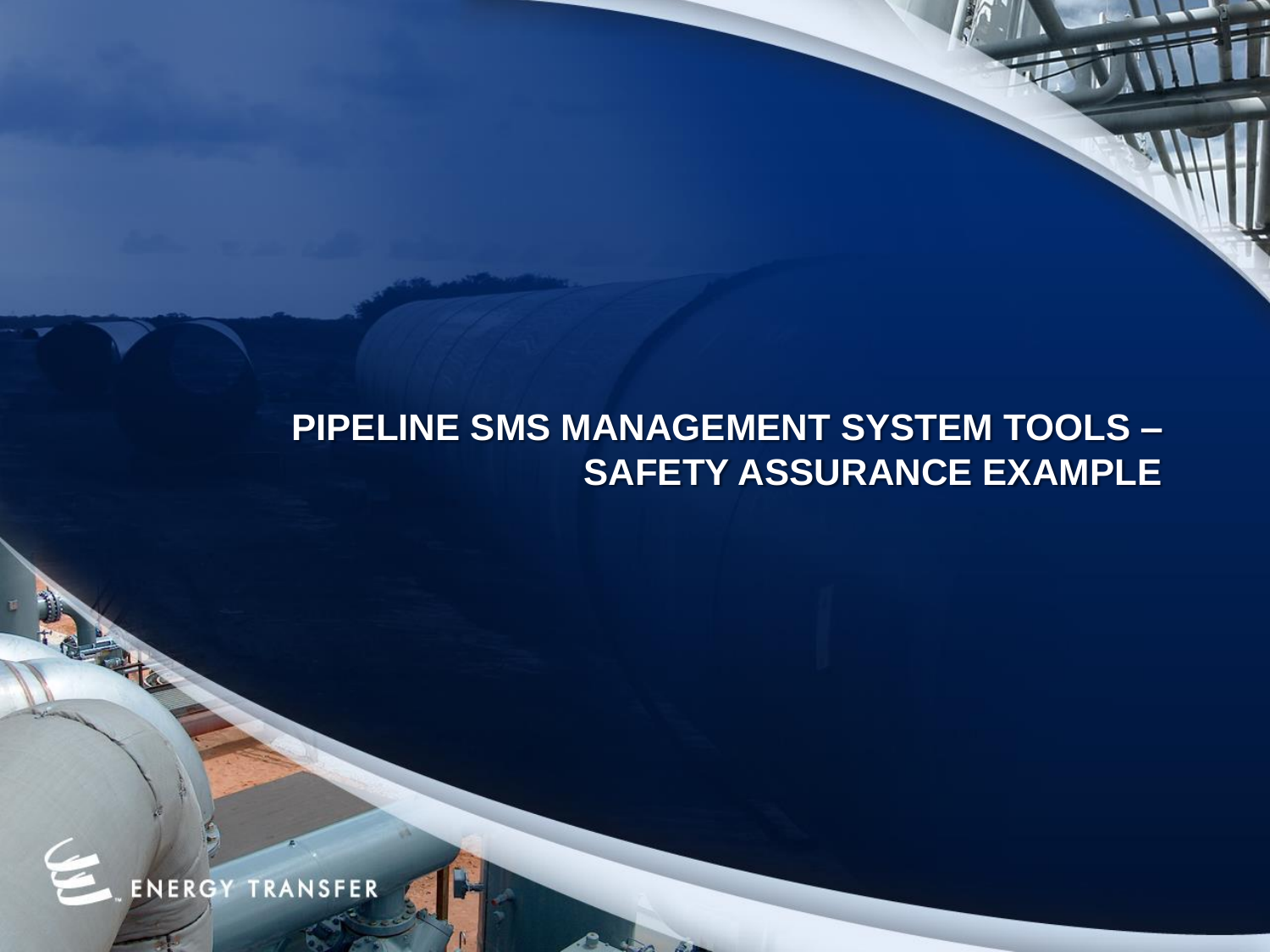## **PIPELINE SMS MANAGEMENT SYSTEM TOOLS – SAFETY ASSURANCE EXAMPLE**

**ENERGY TRANSFER** 

**CALL OF**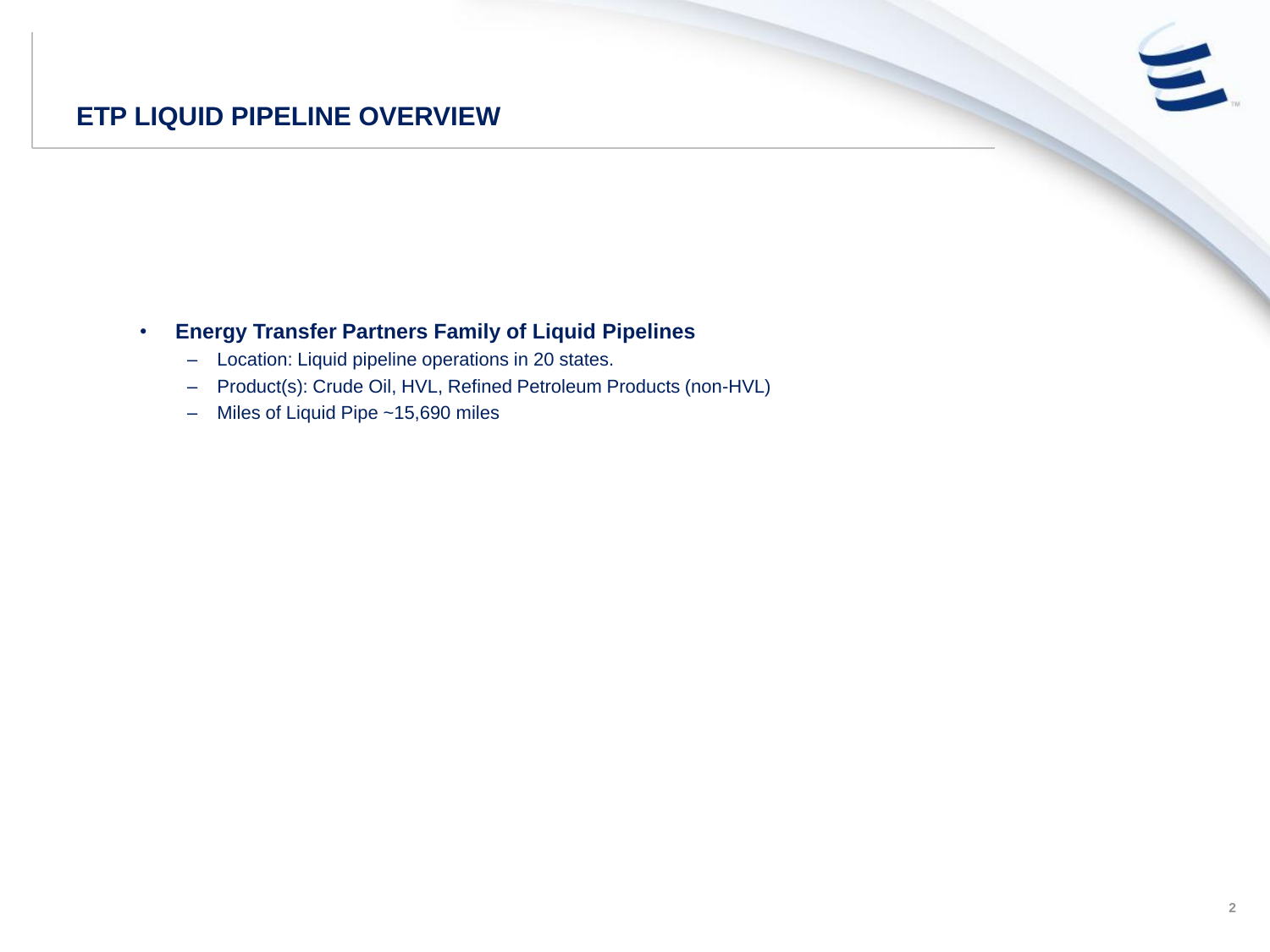## **ETP LIQUID PIPELINE OVERVIEW**

## • **Energy Transfer Partners Family of Liquid Pipelines**

- Location: Liquid pipeline operations in 20 states.
- Product(s): Crude Oil, HVL, Refined Petroleum Products (non-HVL)
- Miles of Liquid Pipe ~15,690 miles

 $\epsilon$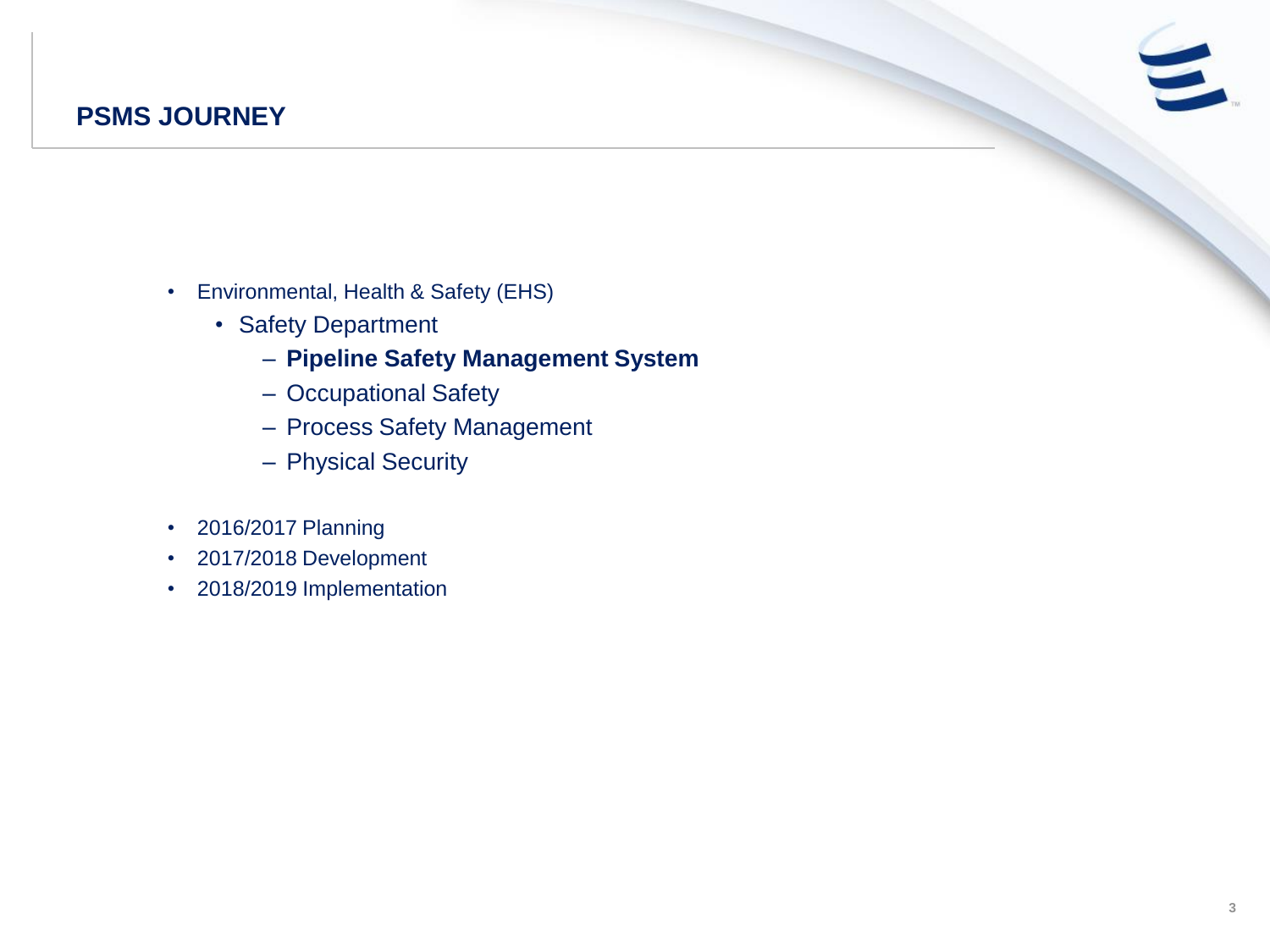## **PSMS JOURNEY**

- Environmental, Health & Safety (EHS)
	- Safety Department
		- **Pipeline Safety Management System**
		- Occupational Safety
		- Process Safety Management
		- Physical Security
- 2016/2017 Planning
- 2017/2018 Development
- 2018/2019 Implementation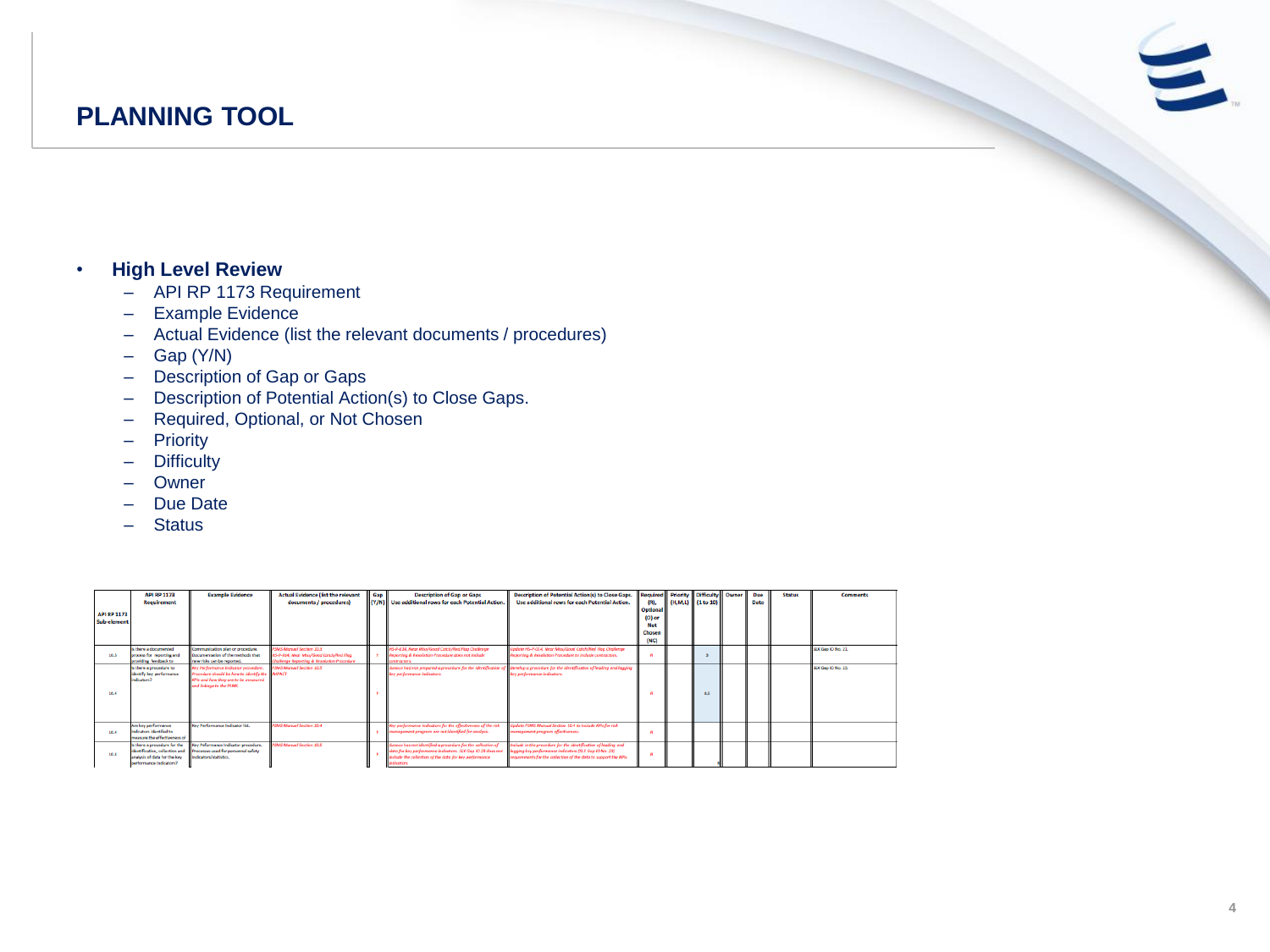## **PLANNING TOOL**

#### • **High Level Review**

- API RP 1173 Requirement
- Example Evidence
- Actual Evidence (list the relevant documents / procedures)
- $-$  Gap (Y/N)
- Description of Gap or Gaps
- Description of Potential Action(s) to Close Gaps.
- Required, Optional, or Not Chosen
- Priority
- Difficulty
- Owner
- Due Date
- Status

| <b>API RP 1173</b><br>Sub-element | <b>API RP 1173</b><br><b>Requirement</b>                                                       | <b>Example Evidence</b>                                                                                                                                   | <b>Actual Evidence (list the relevant</b><br>documents / procedures)                                              | Gap | <b>Description of Gap or Gaps</b><br>(Y/N) Use additional rows for each Potential Action.                                                                                             | <b>Description of Potential Action(s) to Close Gaps.</b><br>Use additional rows for each Potential Action.                                                                                   | <b>Optional</b><br>(O) or<br>Not<br>Chosen<br>(NC) | <b>Required Priority Difficulty Owner</b><br>(H,M,L) (1 to 10) | Due<br>Date | <b>Status</b> | <b>Comments</b>    |
|-----------------------------------|------------------------------------------------------------------------------------------------|-----------------------------------------------------------------------------------------------------------------------------------------------------------|-------------------------------------------------------------------------------------------------------------------|-----|---------------------------------------------------------------------------------------------------------------------------------------------------------------------------------------|----------------------------------------------------------------------------------------------------------------------------------------------------------------------------------------------|----------------------------------------------------|----------------------------------------------------------------|-------------|---------------|--------------------|
| 10.3                              | Is there a documented<br>process for reporting and<br>providing feedback to                    | Communication plan or procedure.<br>Documentation of the methods that<br>new risks can be reported.                                                       | PSMS Monard Section 20.8<br>HS-P-014. Near Miss/Good Catch/Red Flag<br>Challenge Reporting & Resolution Procedure |     | HS-P-014, Near Miss/Good Catch/Red Fisa Challenge<br>Reporting & Resolution Procedure does not include<br>contractors                                                                 | Jodate HS-P-014, Near Miss/Good Catch/Red Flag Challenge<br>Reporting & Resolution Procedure to include contractors.                                                                         |                                                    |                                                                |             |               | SLX Gap IO No. 21. |
| 10.4                              | Is there a procedure to<br>identify key performance<br>indicators?                             | Key Performance Indicator procedure.<br>Procedure should be how to identify the MIFACT<br>47ts and how they are to be measured<br>and Inkage to the PSMS. | <b>PSMS Monual Section 10.5</b>                                                                                   |     | Sunoco had not prepared a procedure for the identification of<br>key performance indicators.                                                                                          | Develop a procedure for the identification of leading and logging<br>key performance indicators.                                                                                             |                                                    | 8.5                                                            |             |               | SLX Gap IO No. 23. |
| 10.4                              | Are key performance<br>indicators identified to<br>measure the effectiveness of                | Key Performance Indicator INL                                                                                                                             | PIMS Monard Section 20.4                                                                                          |     | Key performance indicators for the effectiveness of the risk<br>management program are not identified for analysis.                                                                   | pdate PSMS Manual Section 30.4 to include KPIs for risk<br>nanapement program effectiveness.                                                                                                 |                                                    |                                                                |             |               |                    |
| 10.4                              | Is there a procedure for the<br>analysis of data for the key<br><b>parformance indicators?</b> | Key Peformance Indicator procedure.<br>identification, collection and Processes used for personnel safety<br>Indicators/statistics.                       | SMS Monual Section 10.5                                                                                           |     | $anoco$ has not identified a procedure for the collection of<br>data for key performance indicators. SLX Gap IO 23 does not<br>include the collection of the data for key performance | include in the procedure for the identification of leading and<br>lagging key performance indicators (SLX Gap IO No. 23)<br>requirements for the collection of the data to support the KPIs. |                                                    |                                                                |             |               |                    |

 $\epsilon$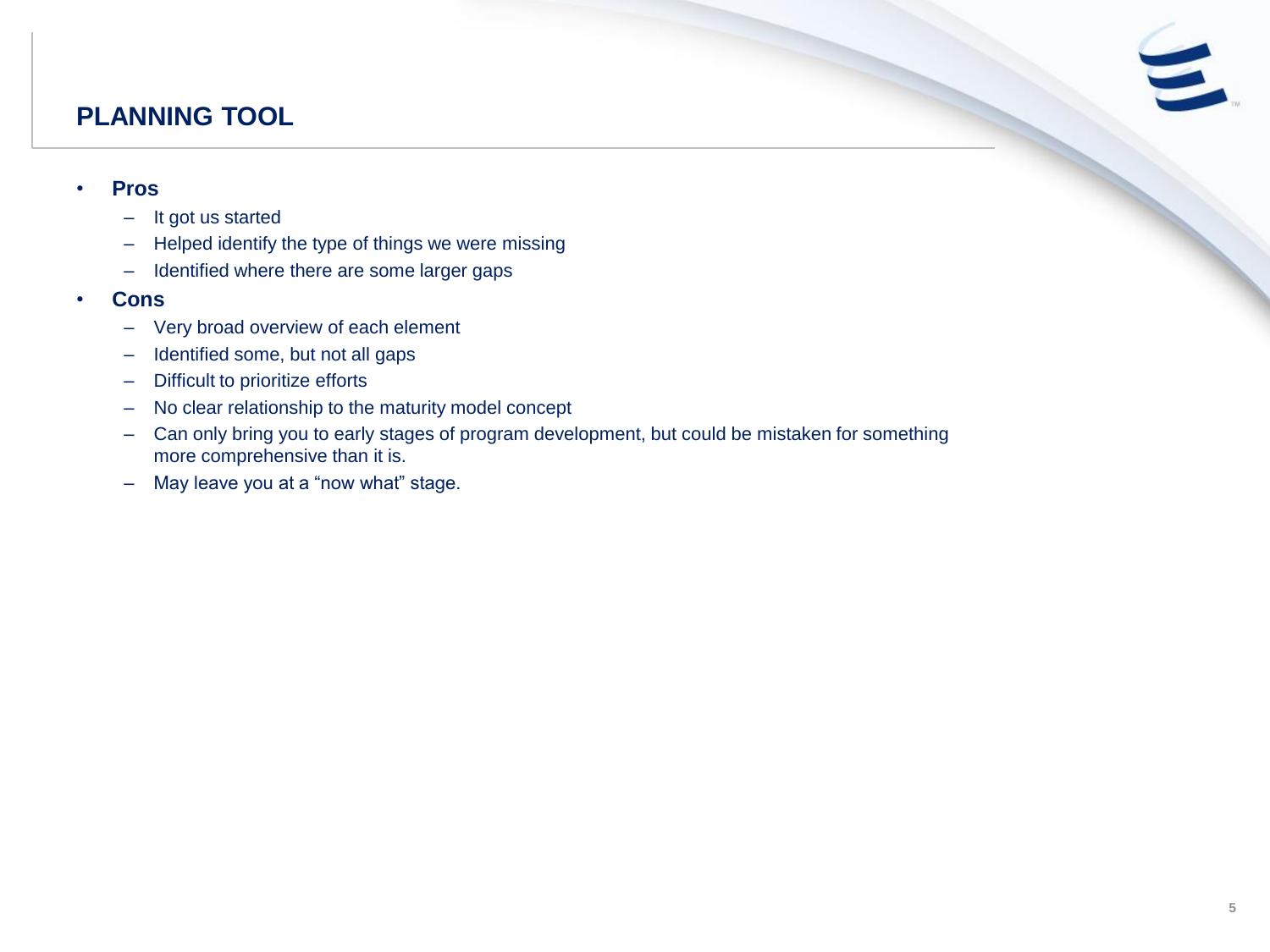## **PLANNING TOOL**

#### • **Pros**

- It got us started
- Helped identify the type of things we were missing
- Identified where there are some larger gaps
- **Cons**
	- Very broad overview of each element
	- Identified some, but not all gaps
	- Difficult to prioritize efforts
	- No clear relationship to the maturity model concept
	- Can only bring you to early stages of program development, but could be mistaken for something more comprehensive than it is.
	- May leave you at a "now what" stage.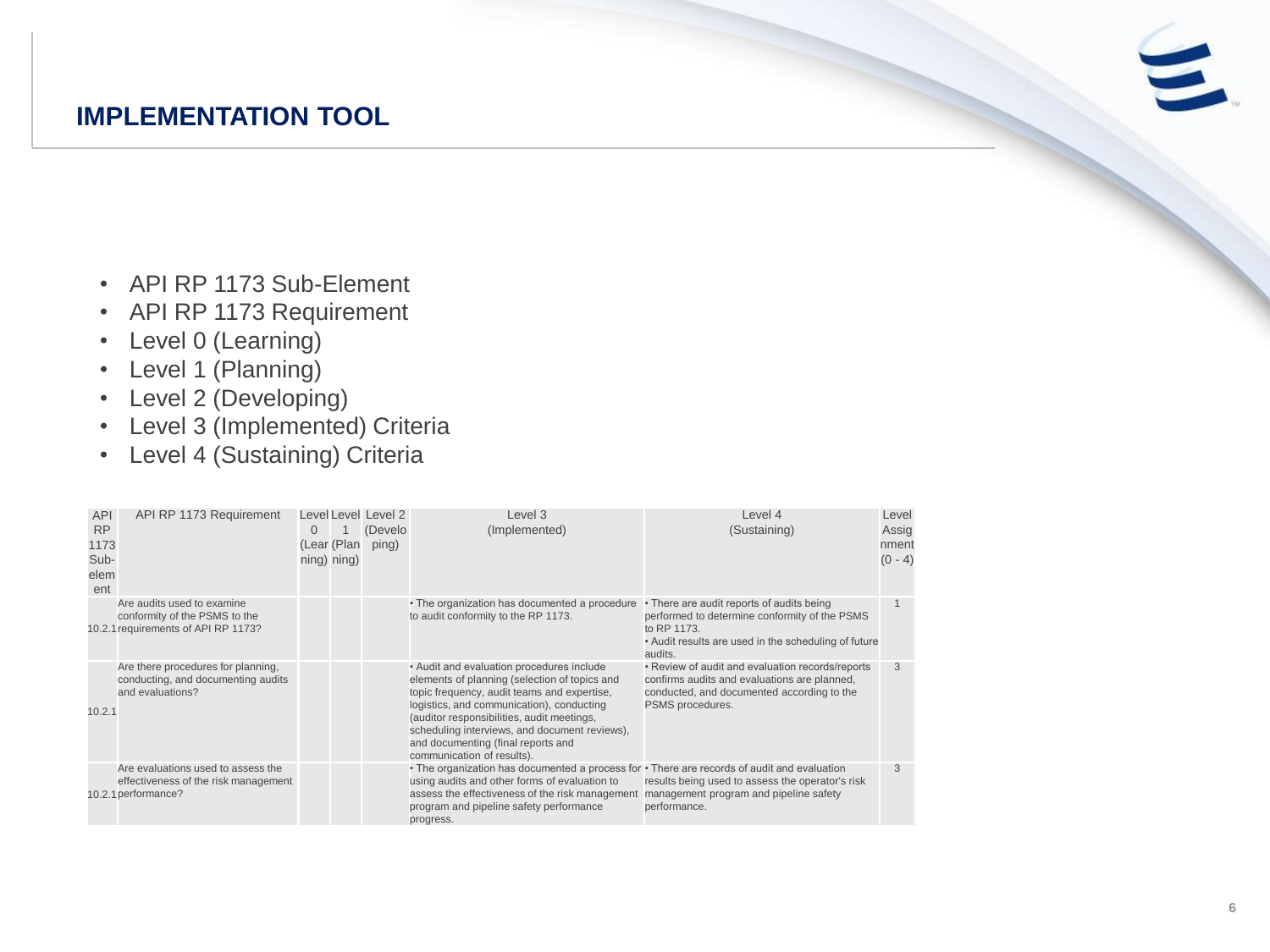## **IMPLEMENTATION TOOL**

- API RP 1173 Sub-Element
- API RP 1173 Requirement
- Level 0 (Learning)
- Level 1 (Planning)
- Level 2 (Developing)
- Level 3 (Implemented) Criteria
- Level 4 (Sustaining) Criteria

| <b>API</b><br><b>RP</b><br>1173<br>Sub-<br>elem<br>ent | API RP 1173 Requirement                                                                            | $\Omega$ | (Lear (Plan<br>$ning)$ ning) | Level Level Level 2<br>(Develo<br>ping) | Level 3<br>(Implemented)                                                                                                                                                                                                                                                                                                                                  | Level 4<br>(Sustaining)                                                                                                                                                     | Level<br>Assig<br>nment<br>$(0 - 4)$ |
|--------------------------------------------------------|----------------------------------------------------------------------------------------------------|----------|------------------------------|-----------------------------------------|-----------------------------------------------------------------------------------------------------------------------------------------------------------------------------------------------------------------------------------------------------------------------------------------------------------------------------------------------------------|-----------------------------------------------------------------------------------------------------------------------------------------------------------------------------|--------------------------------------|
|                                                        | Are audits used to examine<br>conformity of the PSMS to the<br>10.2.1 requirements of API RP 1173? |          |                              |                                         | • The organization has documented a procedure<br>to audit conformity to the RP 1173.                                                                                                                                                                                                                                                                      | • There are audit reports of audits being<br>performed to determine conformity of the PSMS<br>to RP 1173<br>• Audit results are used in the scheduling of future<br>audits. |                                      |
| 10.2.1                                                 | Are there procedures for planning,<br>conducting, and documenting audits<br>and evaluations?       |          |                              |                                         | • Audit and evaluation procedures include<br>elements of planning (selection of topics and<br>topic frequency, audit teams and expertise,<br>logistics, and communication), conducting<br>(auditor responsibilities, audit meetings,<br>scheduling interviews, and document reviews),<br>and documenting (final reports and<br>communication of results). | • Review of audit and evaluation records/reports<br>confirms audits and evaluations are planned,<br>conducted, and documented according to the<br>PSMS procedures.          | 3                                    |
|                                                        | Are evaluations used to assess the<br>effectiveness of the risk management<br>10.2.1 performance?  |          |                              |                                         | • The organization has documented a process for • There are records of audit and evaluation<br>using audits and other forms of evaluation to<br>assess the effectiveness of the risk management<br>program and pipeline safety performance<br>progress.                                                                                                   | results being used to assess the operator's risk<br>management program and pipeline safety<br>performance.                                                                  | 3                                    |

 $\equiv$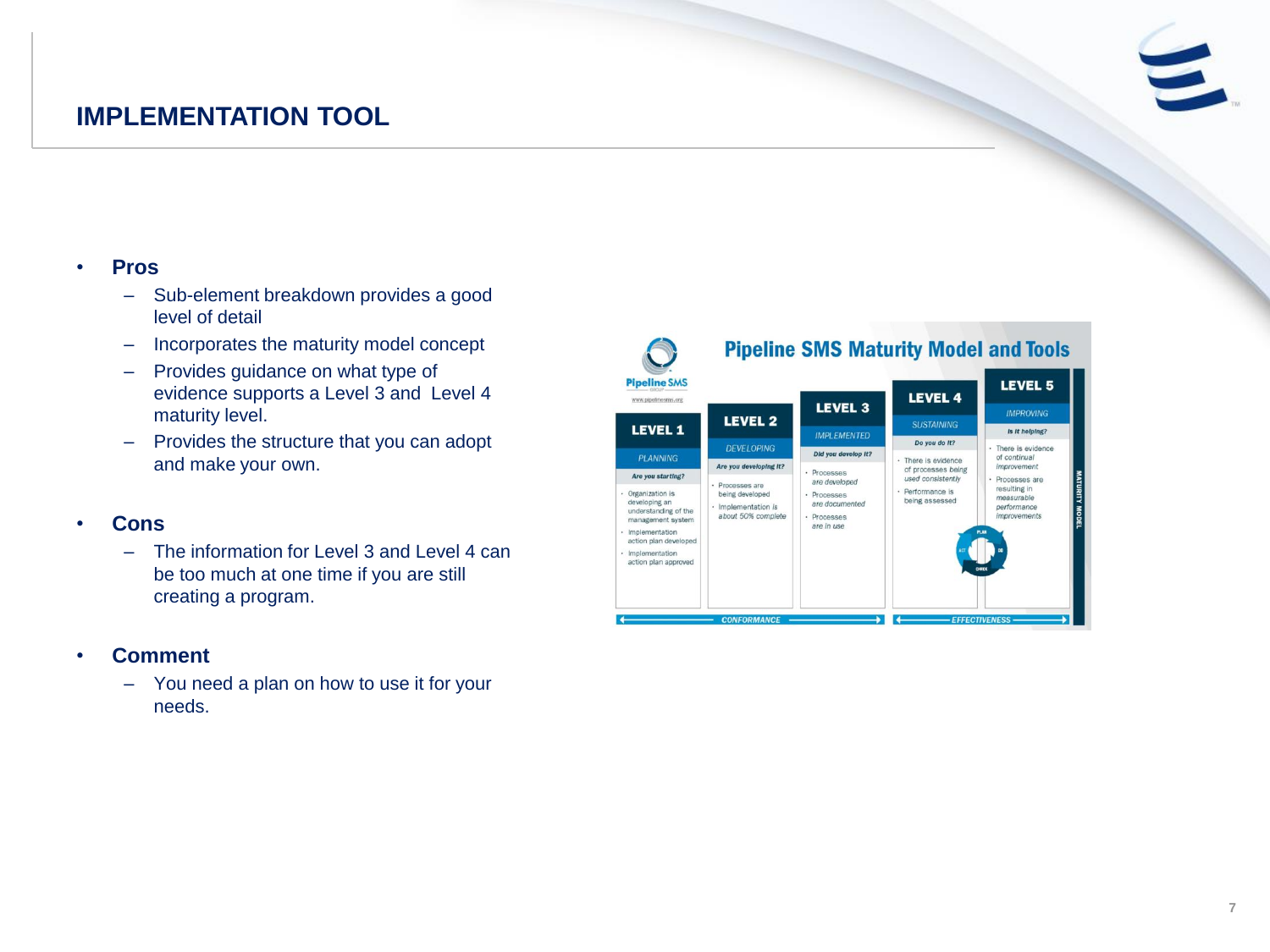## **IMPLEMENTATION TOOL**

#### • **Pros**

- Sub-element breakdown provides a good level of detail
- Incorporates the maturity model concept
- Provides guidance on what type of evidence supports a Level 3 and Level 4 maturity level.
- Provides the structure that you can adopt and make your own.

#### • **Cons**

– The information for Level 3 and Level 4 can be too much at one time if you are still creating a program.

#### • **Comment**

– You need a plan on how to use it for your needs.

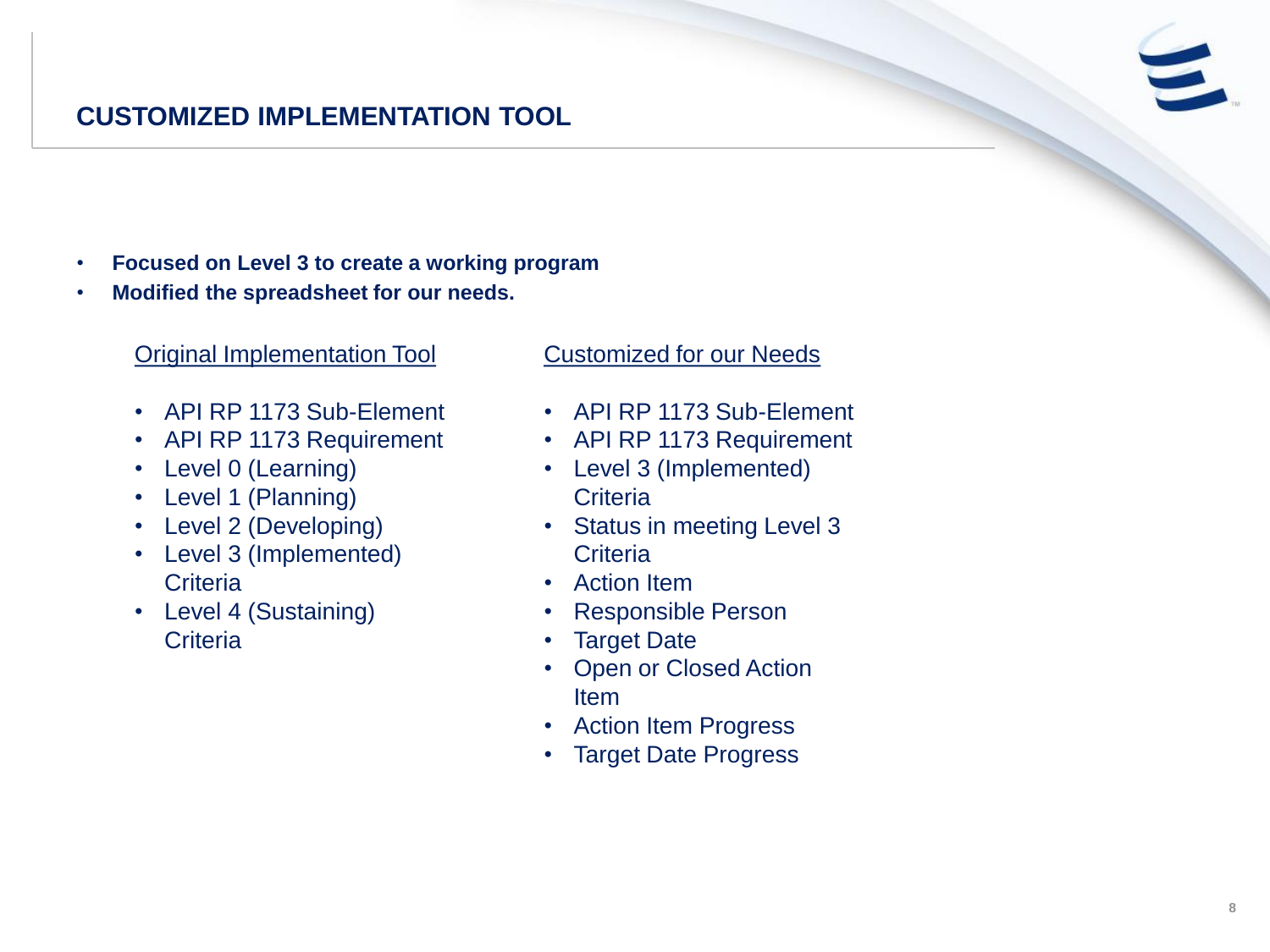## **CUSTOMIZED IMPLEMENTATION TOOL**

- **Focused on Level 3 to create a working program**
- **Modified the spreadsheet for our needs.**

### Original Implementation Tool

- API RP 1173 Sub-Element
- API RP 1173 Requirement
- Level 0 (Learning)
- Level 1 (Planning)
- Level 2 (Developing)
- Level 3 (Implemented) **Criteria**
- Level 4 (Sustaining) **Criteria**

#### Customized for our Needs

- API RP 1173 Sub-Element
- API RP 1173 Requirement
- Level 3 (Implemented) **Criteria**
- Status in meeting Level 3 **Criteria**
- Action Item
- Responsible Person
- Target Date
- **Open or Closed Action** Item
- Action Item Progress
- Target Date Progress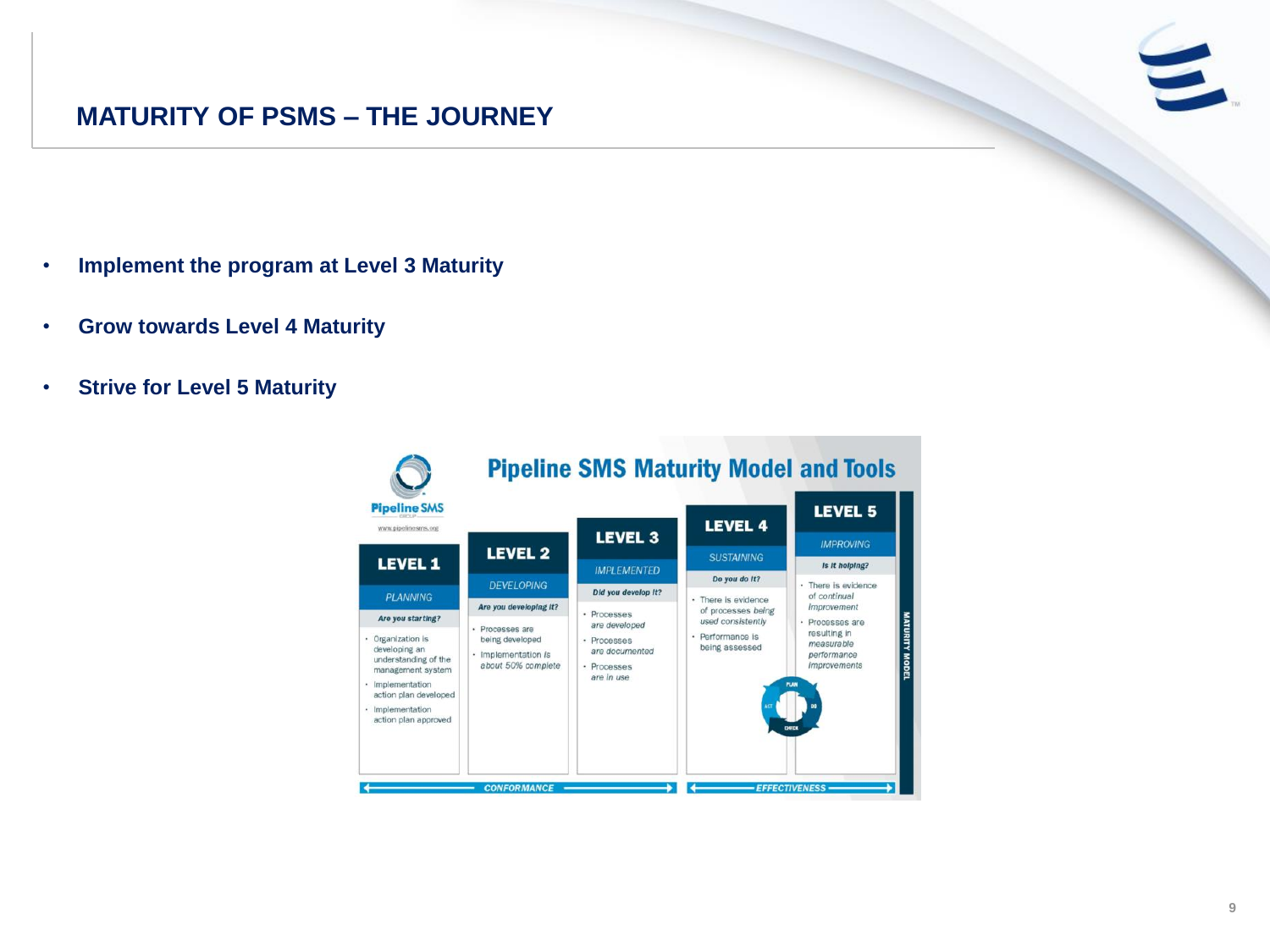## **MATURITY OF PSMS – THE JOURNEY**

- **Implement the program at Level 3 Maturity**
- **Grow towards Level 4 Maturity**
- **Strive for Level 5 Maturity**

| <b>Pipeline SMS</b><br>www.pipelinesms.org                                                                                                                                                    |                                                                                                           |                                                                                            | <b>LEVEL 4</b>                                                                                       | <b>LEVEL 5</b>                                                                                                             |
|-----------------------------------------------------------------------------------------------------------------------------------------------------------------------------------------------|-----------------------------------------------------------------------------------------------------------|--------------------------------------------------------------------------------------------|------------------------------------------------------------------------------------------------------|----------------------------------------------------------------------------------------------------------------------------|
| <b>LEVEL 1</b>                                                                                                                                                                                | <b>LEVEL 2</b>                                                                                            | <b>LEVEL 3</b>                                                                             | <b>SUSTAINING</b>                                                                                    | <b>IMPROVING</b>                                                                                                           |
| <b>PLANNING</b>                                                                                                                                                                               | <b>DEVELOPING</b>                                                                                         | <b>IMPLEMENTED</b><br>Did you develop It?                                                  | Do you do It?                                                                                        | Is It helping?<br>· There is evidence<br>of continual                                                                      |
| Are you starting?<br>· Organization is<br>developing an<br>understanding of the<br>management system<br>· Implementation<br>action plan developed<br>· Implementation<br>action plan approved | Are you developing It?<br>· Processes are<br>being developed<br>· Implementation is<br>about 50% complete | · Processes<br>are developed<br>· Processes<br>are documented<br>· Processes<br>are in use | · There is evidence<br>of processes being<br>used consistently<br>· Performance is<br>being assessed | improvement<br>· Processes are<br>resulting in<br>measurable<br>performance<br><i>improvements</i><br><b>PLAN</b><br>CHFCK |

 $\blacksquare$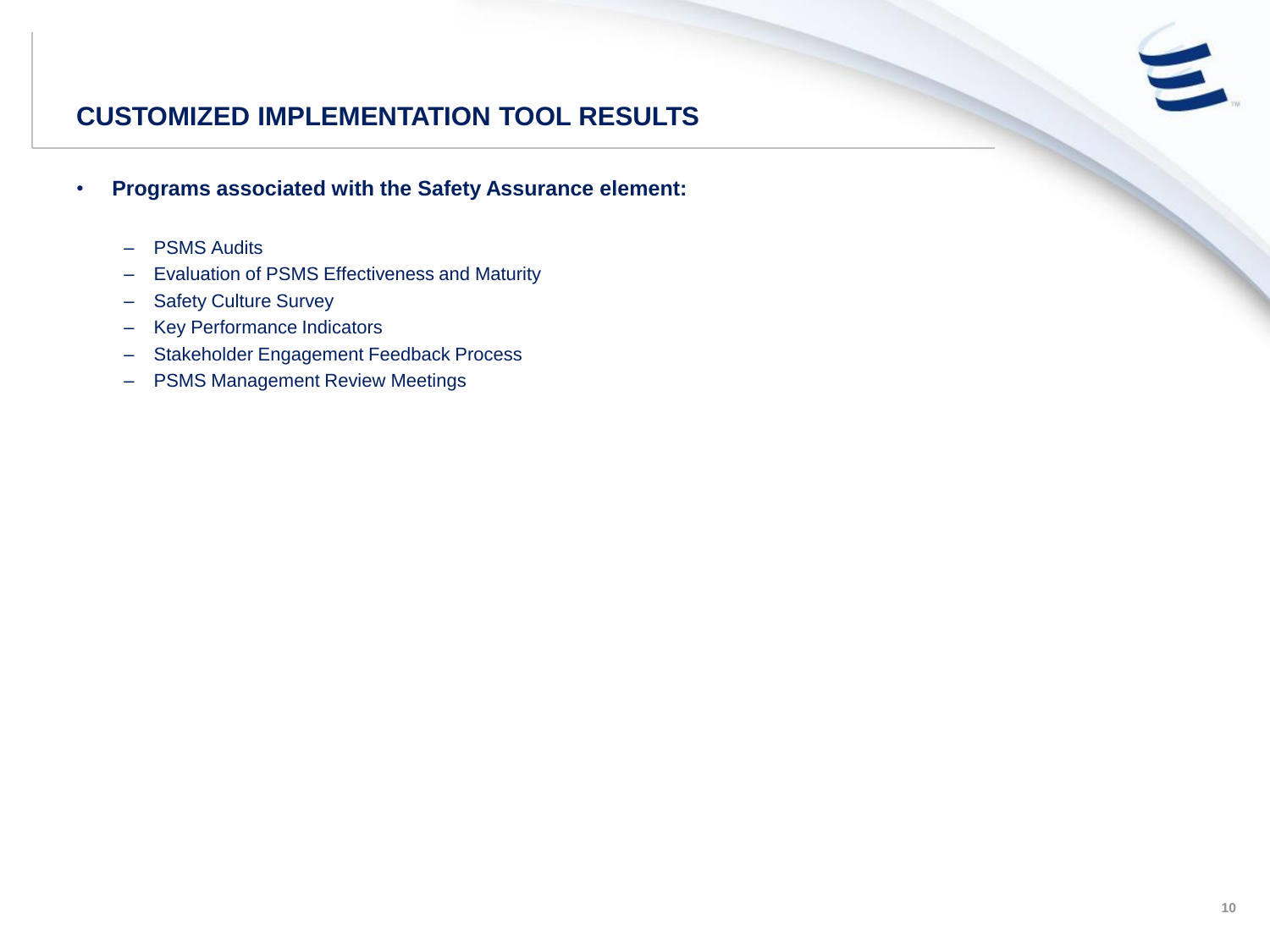# $\epsilon$

## **CUSTOMIZED IMPLEMENTATION TOOL RESULTS**

- **Programs associated with the Safety Assurance element:**
	- PSMS Audits
	- Evaluation of PSMS Effectiveness and Maturity
	- Safety Culture Survey
	- Key Performance Indicators
	- Stakeholder Engagement Feedback Process
	- PSMS Management Review Meetings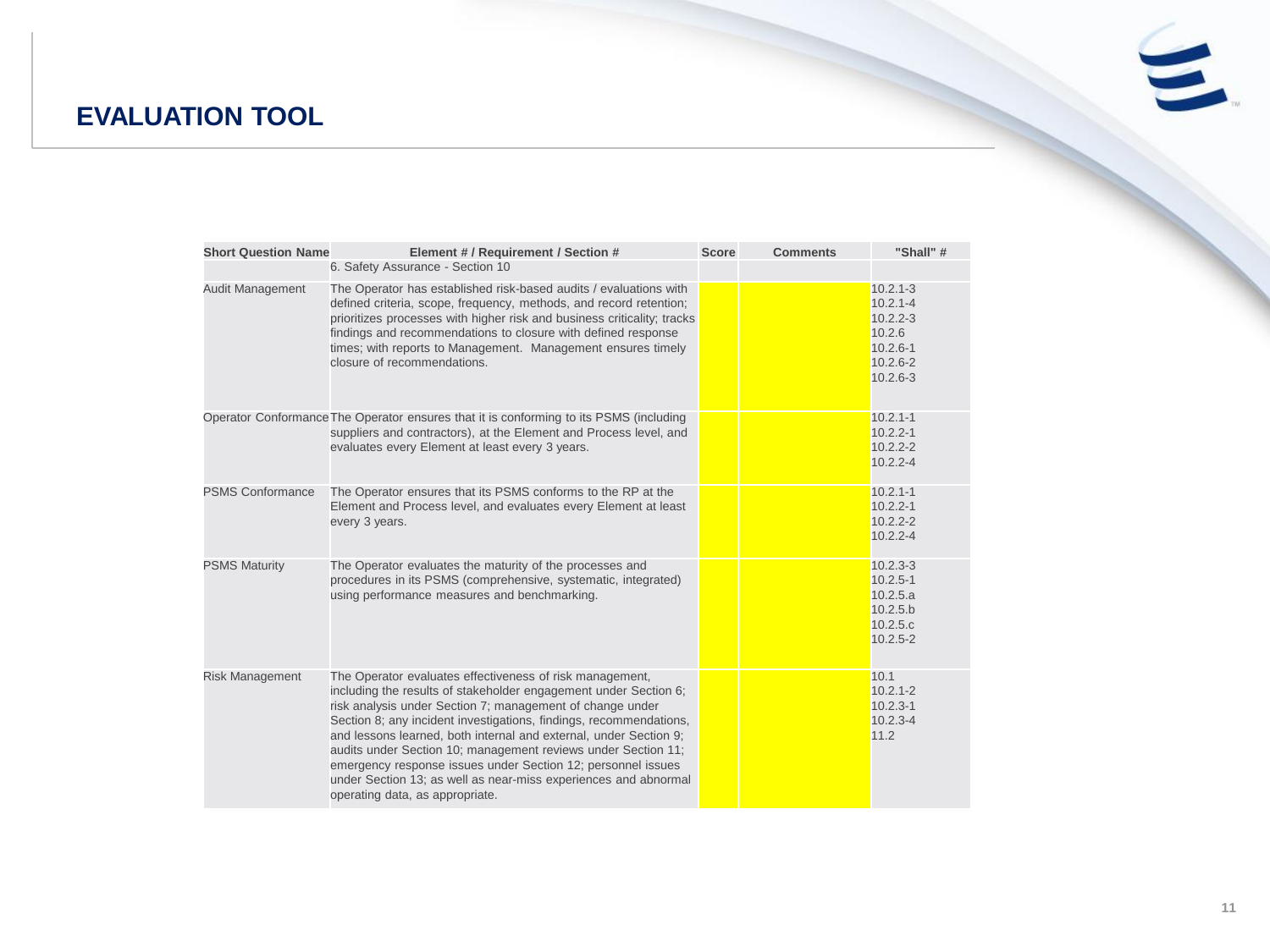## **EVALUATION TOOL**



| <b>Short Question Name</b> | Element # / Requirement / Section #<br>6. Safety Assurance - Section 10                                                                                                                                                                                                                                                                                                                                                                                                                                                                                                     | <b>Score</b> | <b>Comments</b> | "Shall" #                                                                                              |
|----------------------------|-----------------------------------------------------------------------------------------------------------------------------------------------------------------------------------------------------------------------------------------------------------------------------------------------------------------------------------------------------------------------------------------------------------------------------------------------------------------------------------------------------------------------------------------------------------------------------|--------------|-----------------|--------------------------------------------------------------------------------------------------------|
|                            |                                                                                                                                                                                                                                                                                                                                                                                                                                                                                                                                                                             |              |                 |                                                                                                        |
| Audit Management           | The Operator has established risk-based audits / evaluations with<br>defined criteria, scope, frequency, methods, and record retention;<br>prioritizes processes with higher risk and business criticality; tracks<br>findings and recommendations to closure with defined response<br>times; with reports to Management. Management ensures timely<br>closure of recommendations.                                                                                                                                                                                          |              |                 | $10.2.1 - 3$<br>$10.2.1 - 4$<br>$10.2.2 - 3$<br>10.2.6<br>$10.2.6 - 1$<br>$10.2.6 - 2$<br>$10.2.6 - 3$ |
|                            | Operator Conformance The Operator ensures that it is conforming to its PSMS (including<br>suppliers and contractors), at the Element and Process level, and<br>evaluates every Element at least every 3 years.                                                                                                                                                                                                                                                                                                                                                              |              |                 | $10.2.1 - 1$<br>$10.2.2 - 1$<br>$10.2.2 - 2$<br>$10.2.2 - 4$                                           |
| <b>PSMS Conformance</b>    | The Operator ensures that its PSMS conforms to the RP at the<br>Element and Process level, and evaluates every Element at least<br>every 3 years.                                                                                                                                                                                                                                                                                                                                                                                                                           |              |                 | $10.2.1 - 1$<br>$10.2.2 - 1$<br>$10.2.2 - 2$<br>$10.2.2 - 4$                                           |
| <b>PSMS Maturity</b>       | The Operator evaluates the maturity of the processes and<br>procedures in its PSMS (comprehensive, systematic, integrated)<br>using performance measures and benchmarking.                                                                                                                                                                                                                                                                                                                                                                                                  |              |                 | $10.2.3 - 3$<br>$10.2.5 - 1$<br>10.2.5.a<br>10.2.5.b<br>10.2.5.c<br>$10.2.5 - 2$                       |
| <b>Risk Management</b>     | The Operator evaluates effectiveness of risk management,<br>including the results of stakeholder engagement under Section 6;<br>risk analysis under Section 7; management of change under<br>Section 8; any incident investigations, findings, recommendations,<br>and lessons learned, both internal and external, under Section 9;<br>audits under Section 10; management reviews under Section 11;<br>emergency response issues under Section 12; personnel issues<br>under Section 13; as well as near-miss experiences and abnormal<br>operating data, as appropriate. |              |                 | 10.1<br>$10.2.1 - 2$<br>$10.2.3 - 1$<br>$10.2.3 - 4$<br>11.2                                           |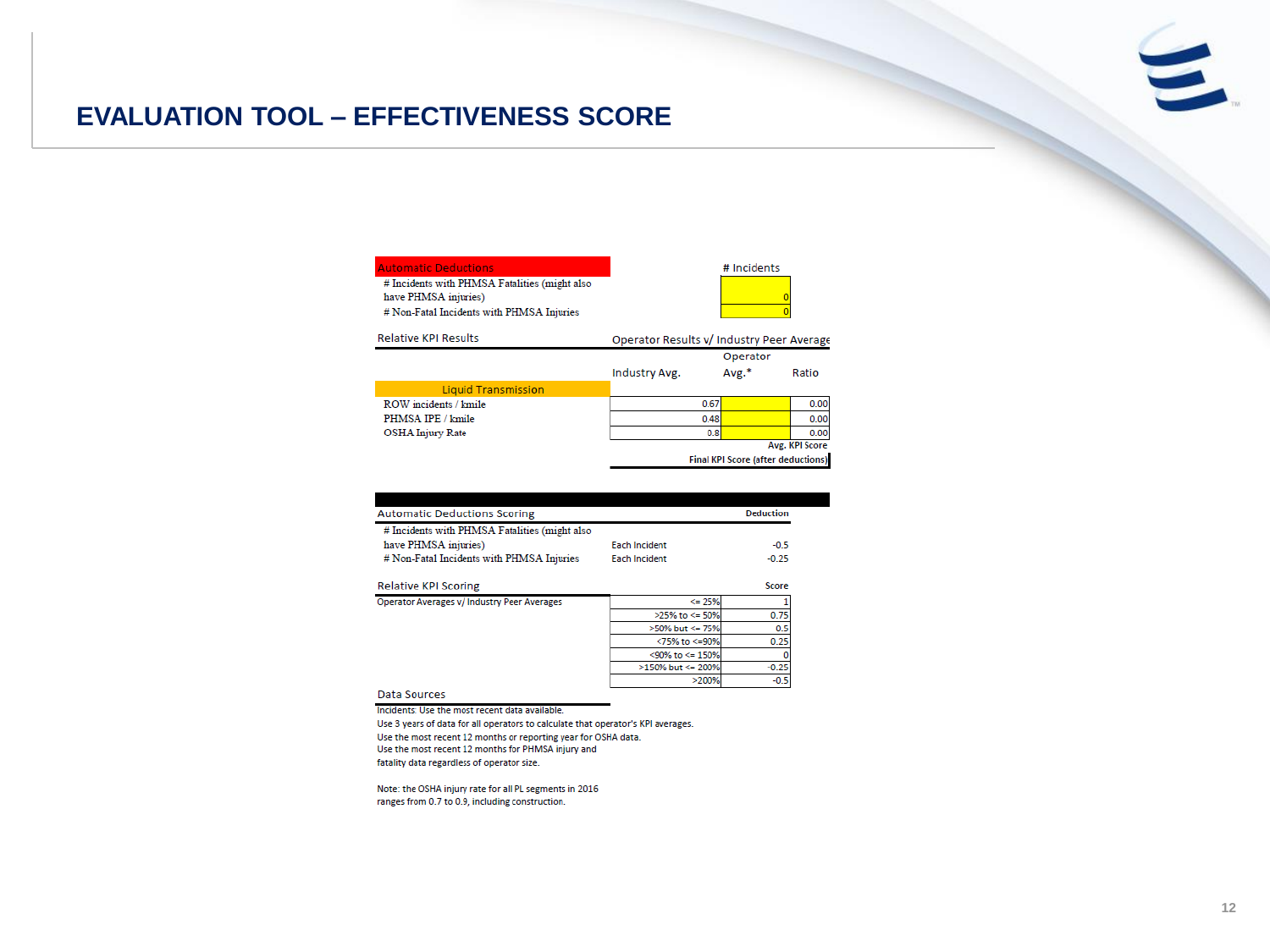## **EVALUATION TOOL – EFFECTIVENESS SCORE**

| <b>Automatic Deductions</b><br># Incidents with PHMSA Fatalities (might also<br>have PHMSA injuries)<br># Non-Fatal Incidents with PHMSA Injuries |                                           | # Incidents                               |                |
|---------------------------------------------------------------------------------------------------------------------------------------------------|-------------------------------------------|-------------------------------------------|----------------|
| <b>Relative KPI Results</b>                                                                                                                       | Operator Results v/ Industry Peer Average |                                           |                |
|                                                                                                                                                   |                                           | Operator                                  |                |
|                                                                                                                                                   | Industry Avg.                             | Avg.*                                     | Ratio          |
| <b>Liquid Transmission</b>                                                                                                                        |                                           |                                           |                |
| ROW incidents / kmile                                                                                                                             | 0.67                                      |                                           | 0.00           |
| PHMSA IPE / kmile                                                                                                                                 | 0.48                                      |                                           | 0.00           |
| <b>OSHA Injury Rate</b>                                                                                                                           | 0.8                                       |                                           | 0.00           |
|                                                                                                                                                   |                                           |                                           | Avg. KPI Score |
|                                                                                                                                                   |                                           | <b>Final KPI Score (after deductions)</b> |                |

| <b>Automatic Deductions Scoring</b>           |                      | <b>Deduction</b> |
|-----------------------------------------------|----------------------|------------------|
| # Incidents with PHMSA Fatalities (might also |                      |                  |
| have PHMSA injuries)                          | <b>Each Incident</b> | $-0.5$           |
| # Non-Fatal Incidents with PHMSA Injuries     | <b>Each Incident</b> | $-0.25$          |
| Relative KPI Scoring                          |                      | Score            |
| Operator Averages v/ Industry Peer Averages   | $\leq$ 25%           |                  |
|                                               | >25% to <= 50%       | 0.75             |
|                                               | >50% but <= 75%      | 0.5              |
|                                               | <75% to <= 90%       | 0.25             |
|                                               | <90% to <= 150%      |                  |
|                                               | $>150\%$ but <= 200% | $-0.25$          |
|                                               | >200%                | $-0.5$           |

Data Sources

Incidents: Use the most recent data available.

Use 3 years of data for all operators to calculate that operator's KPI averages. Use the most recent 12 months or reporting year for OSHA data. Use the most recent 12 months for PHMSA injury and fatality data regardless of operator size.

Note: the OSHA injury rate for all PL segments in 2016 ranges from 0.7 to 0.9, including construction.